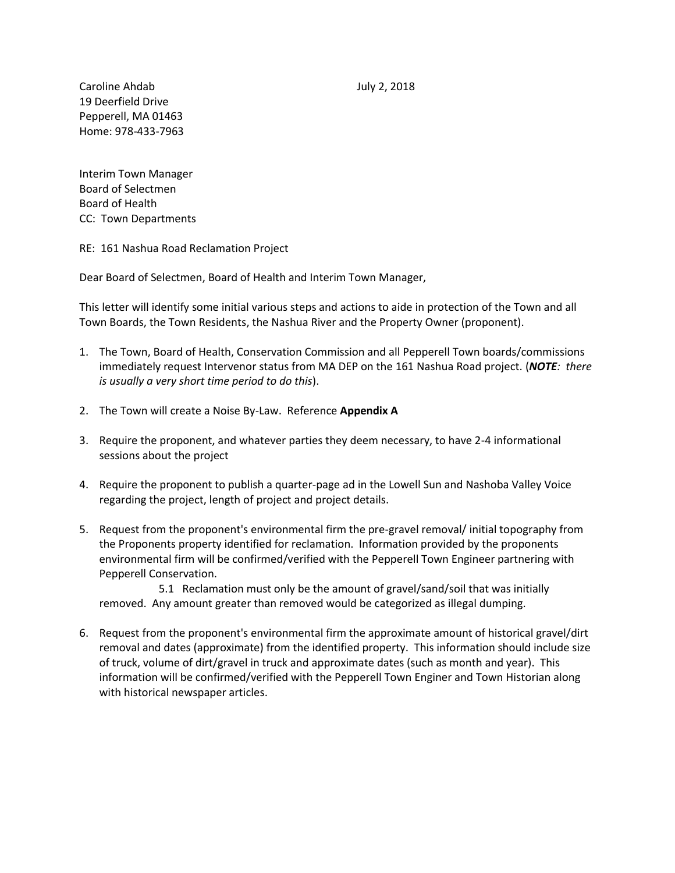Caroline Ahdab July 2, 2018 19 Deerfield Drive Pepperell, MA 01463 Home: 978-433-7963

Interim Town Manager Board of Selectmen Board of Health CC: Town Departments

RE: 161 Nashua Road Reclamation Project

Dear Board of Selectmen, Board of Health and Interim Town Manager,

This letter will identify some initial various steps and actions to aide in protection of the Town and all Town Boards, the Town Residents, the Nashua River and the Property Owner (proponent).

- 1. The Town, Board of Health, Conservation Commission and all Pepperell Town boards/commissions immediately request Intervenor status from MA DEP on the 161 Nashua Road project. (*NOTE: there is usually a very short time period to do this*).
- 2. The Town will create a Noise By-Law. Reference **Appendix A**
- 3. Require the proponent, and whatever parties they deem necessary, to have 2-4 informational sessions about the project
- 4. Require the proponent to publish a quarter-page ad in the Lowell Sun and Nashoba Valley Voice regarding the project, length of project and project details.
- 5. Request from the proponent's environmental firm the pre-gravel removal/ initial topography from the Proponents property identified for reclamation. Information provided by the proponents environmental firm will be confirmed/verified with the Pepperell Town Engineer partnering with Pepperell Conservation.

5.1 Reclamation must only be the amount of gravel/sand/soil that was initially removed. Any amount greater than removed would be categorized as illegal dumping.

6. Request from the proponent's environmental firm the approximate amount of historical gravel/dirt removal and dates (approximate) from the identified property. This information should include size of truck, volume of dirt/gravel in truck and approximate dates (such as month and year). This information will be confirmed/verified with the Pepperell Town Enginer and Town Historian along with historical newspaper articles.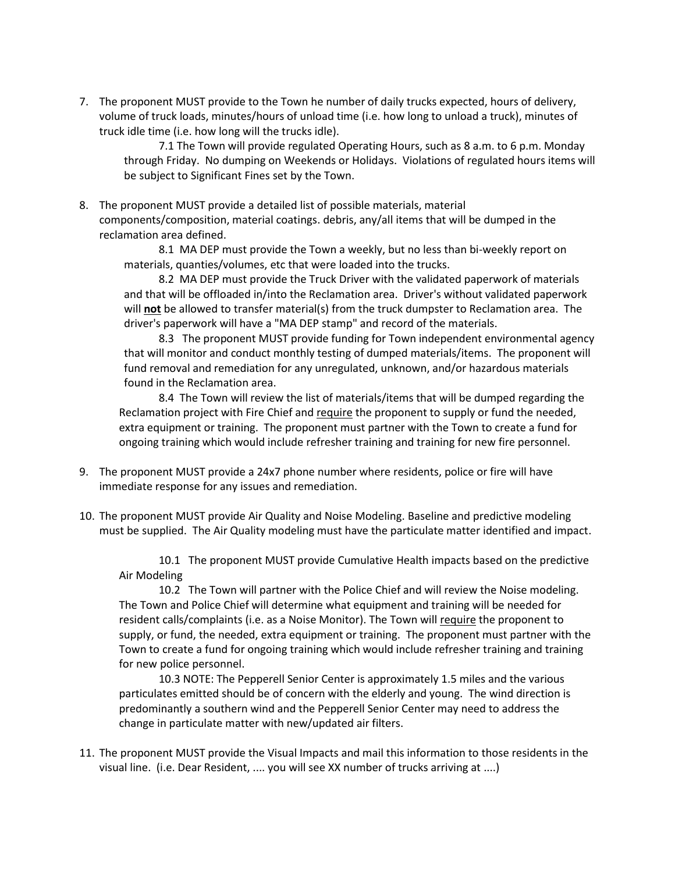7. The proponent MUST provide to the Town he number of daily trucks expected, hours of delivery, volume of truck loads, minutes/hours of unload time (i.e. how long to unload a truck), minutes of truck idle time (i.e. how long will the trucks idle).

7.1 The Town will provide regulated Operating Hours, such as 8 a.m. to 6 p.m. Monday through Friday. No dumping on Weekends or Holidays. Violations of regulated hours items will be subject to Significant Fines set by the Town.

8. The proponent MUST provide a detailed list of possible materials, material components/composition, material coatings. debris, any/all items that will be dumped in the reclamation area defined.

8.1 MA DEP must provide the Town a weekly, but no less than bi-weekly report on materials, quanties/volumes, etc that were loaded into the trucks.

8.2 MA DEP must provide the Truck Driver with the validated paperwork of materials and that will be offloaded in/into the Reclamation area. Driver's without validated paperwork will **not** be allowed to transfer material(s) from the truck dumpster to Reclamation area. The driver's paperwork will have a "MA DEP stamp" and record of the materials.

8.3 The proponent MUST provide funding for Town independent environmental agency that will monitor and conduct monthly testing of dumped materials/items. The proponent will fund removal and remediation for any unregulated, unknown, and/or hazardous materials found in the Reclamation area.

8.4 The Town will review the list of materials/items that will be dumped regarding the Reclamation project with Fire Chief and require the proponent to supply or fund the needed, extra equipment or training. The proponent must partner with the Town to create a fund for ongoing training which would include refresher training and training for new fire personnel.

- 9. The proponent MUST provide a 24x7 phone number where residents, police or fire will have immediate response for any issues and remediation.
- 10. The proponent MUST provide Air Quality and Noise Modeling. Baseline and predictive modeling must be supplied. The Air Quality modeling must have the particulate matter identified and impact.

10.1 The proponent MUST provide Cumulative Health impacts based on the predictive Air Modeling

10.2 The Town will partner with the Police Chief and will review the Noise modeling. The Town and Police Chief will determine what equipment and training will be needed for resident calls/complaints (i.e. as a Noise Monitor). The Town will require the proponent to supply, or fund, the needed, extra equipment or training. The proponent must partner with the Town to create a fund for ongoing training which would include refresher training and training for new police personnel.

10.3 NOTE: The Pepperell Senior Center is approximately 1.5 miles and the various particulates emitted should be of concern with the elderly and young. The wind direction is predominantly a southern wind and the Pepperell Senior Center may need to address the change in particulate matter with new/updated air filters.

11. The proponent MUST provide the Visual Impacts and mail this information to those residents in the visual line. (i.e. Dear Resident, .... you will see XX number of trucks arriving at ....)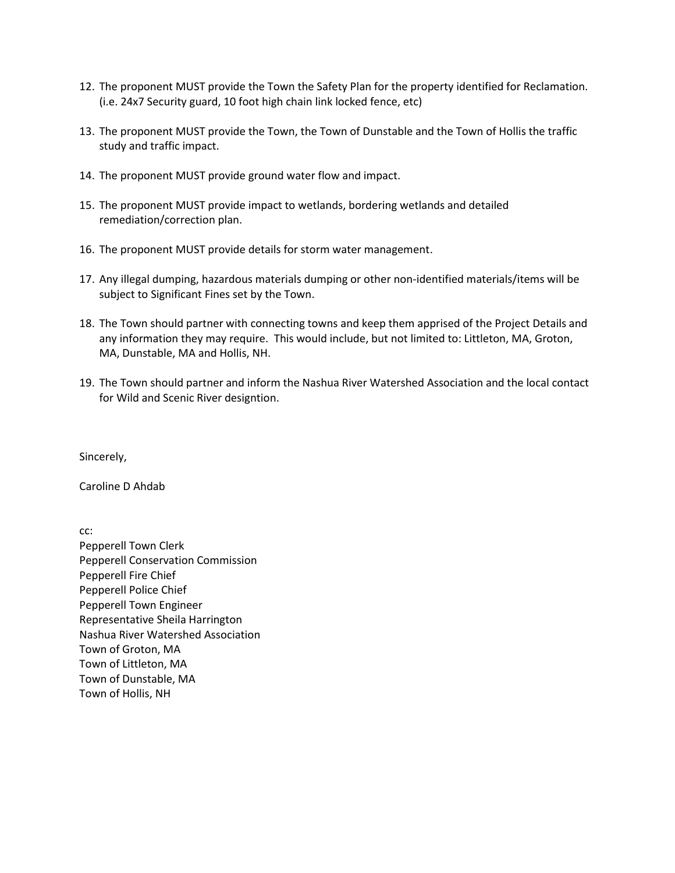- 12. The proponent MUST provide the Town the Safety Plan for the property identified for Reclamation. (i.e. 24x7 Security guard, 10 foot high chain link locked fence, etc)
- 13. The proponent MUST provide the Town, the Town of Dunstable and the Town of Hollis the traffic study and traffic impact.
- 14. The proponent MUST provide ground water flow and impact.
- 15. The proponent MUST provide impact to wetlands, bordering wetlands and detailed remediation/correction plan.
- 16. The proponent MUST provide details for storm water management.
- 17. Any illegal dumping, hazardous materials dumping or other non-identified materials/items will be subject to Significant Fines set by the Town.
- 18. The Town should partner with connecting towns and keep them apprised of the Project Details and any information they may require. This would include, but not limited to: Littleton, MA, Groton, MA, Dunstable, MA and Hollis, NH.
- 19. The Town should partner and inform the Nashua River Watershed Association and the local contact for Wild and Scenic River designtion.

Sincerely,

Caroline D Ahdab

cc:

Pepperell Town Clerk Pepperell Conservation Commission Pepperell Fire Chief Pepperell Police Chief Pepperell Town Engineer Representative Sheila Harrington Nashua River Watershed Association Town of Groton, MA Town of Littleton, MA Town of Dunstable, MA Town of Hollis, NH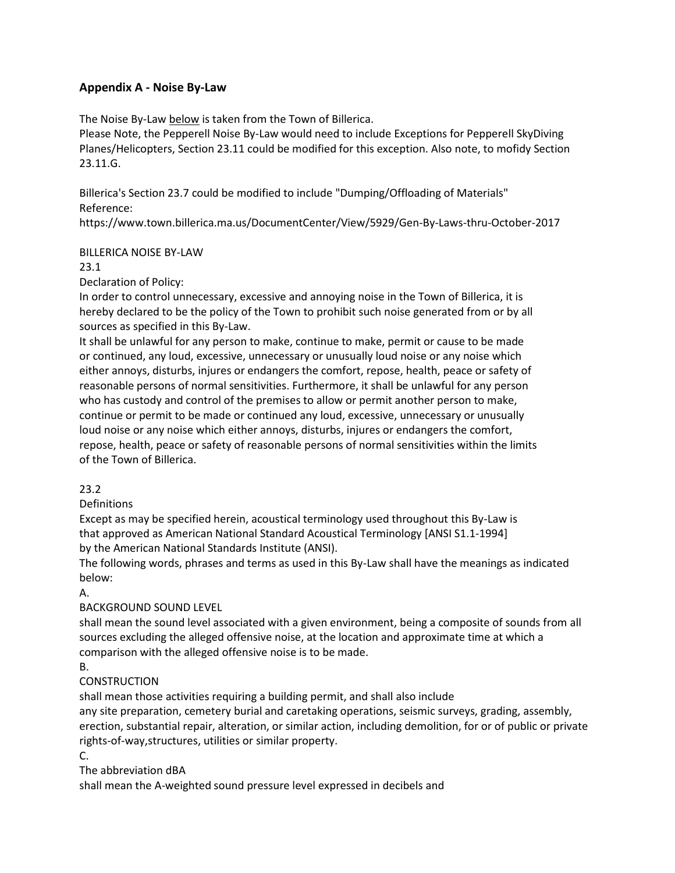## **Appendix A - Noise By-Law**

The Noise By-Law below is taken from the Town of Billerica.

Please Note, the Pepperell Noise By-Law would need to include Exceptions for Pepperell SkyDiving Planes/Helicopters, Section 23.11 could be modified for this exception. Also note, to mofidy Section 23.11.G.

Billerica's Section 23.7 could be modified to include "Dumping/Offloading of Materials" Reference:

https://www.town.billerica.ma.us/DocumentCenter/View/5929/Gen-By-Laws-thru-October-2017

#### BILLERICA NOISE BY-LAW

23.1

Declaration of Policy:

In order to control unnecessary, excessive and annoying noise in the Town of Billerica, it is hereby declared to be the policy of the Town to prohibit such noise generated from or by all sources as specified in this By-Law.

It shall be unlawful for any person to make, continue to make, permit or cause to be made or continued, any loud, excessive, unnecessary or unusually loud noise or any noise which either annoys, disturbs, injures or endangers the comfort, repose, health, peace or safety of reasonable persons of normal sensitivities. Furthermore, it shall be unlawful for any person who has custody and control of the premises to allow or permit another person to make, continue or permit to be made or continued any loud, excessive, unnecessary or unusually loud noise or any noise which either annoys, disturbs, injures or endangers the comfort, repose, health, peace or safety of reasonable persons of normal sensitivities within the limits of the Town of Billerica.

#### 23.2

Definitions

Except as may be specified herein, acoustical terminology used throughout this By-Law is that approved as American National Standard Acoustical Terminology [ANSI S1.1-1994] by the American National Standards Institute (ANSI).

The following words, phrases and terms as used in this By-Law shall have the meanings as indicated below:

A.

## BACKGROUND SOUND LEVEL

shall mean the sound level associated with a given environment, being a composite of sounds from all sources excluding the alleged offensive noise, at the location and approximate time at which a comparison with the alleged offensive noise is to be made.

B.

## **CONSTRUCTION**

shall mean those activities requiring a building permit, and shall also include

any site preparation, cemetery burial and caretaking operations, seismic surveys, grading, assembly, erection, substantial repair, alteration, or similar action, including demolition, for or of public or private rights-of-way,structures, utilities or similar property.

C.

The abbreviation dBA

shall mean the A-weighted sound pressure level expressed in decibels and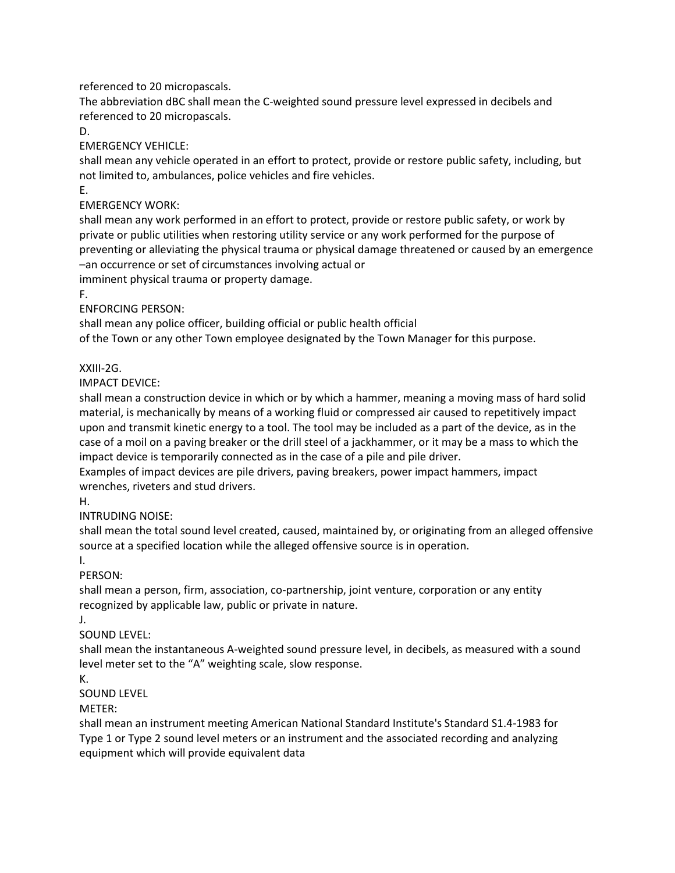referenced to 20 micropascals.

The abbreviation dBC shall mean the C-weighted sound pressure level expressed in decibels and referenced to 20 micropascals.

D.

EMERGENCY VEHICLE:

shall mean any vehicle operated in an effort to protect, provide or restore public safety, including, but not limited to, ambulances, police vehicles and fire vehicles.

E.

EMERGENCY WORK:

shall mean any work performed in an effort to protect, provide or restore public safety, or work by private or public utilities when restoring utility service or any work performed for the purpose of preventing or alleviating the physical trauma or physical damage threatened or caused by an emergence –an occurrence or set of circumstances involving actual or

imminent physical trauma or property damage.

F.

ENFORCING PERSON:

shall mean any police officer, building official or public health official

of the Town or any other Town employee designated by the Town Manager for this purpose.

XXIII-2G.

IMPACT DEVICE:

shall mean a construction device in which or by which a hammer, meaning a moving mass of hard solid material, is mechanically by means of a working fluid or compressed air caused to repetitively impact upon and transmit kinetic energy to a tool. The tool may be included as a part of the device, as in the case of a moil on a paving breaker or the drill steel of a jackhammer, or it may be a mass to which the impact device is temporarily connected as in the case of a pile and pile driver.

Examples of impact devices are pile drivers, paving breakers, power impact hammers, impact wrenches, riveters and stud drivers.

H.

INTRUDING NOISE:

shall mean the total sound level created, caused, maintained by, or originating from an alleged offensive source at a specified location while the alleged offensive source is in operation.

I.

PERSON:

shall mean a person, firm, association, co-partnership, joint venture, corporation or any entity recognized by applicable law, public or private in nature.

J.

SOUND LEVEL:

shall mean the instantaneous A-weighted sound pressure level, in decibels, as measured with a sound level meter set to the "A" weighting scale, slow response.

K.

SOUND LEVEL

METER:

shall mean an instrument meeting American National Standard Institute's Standard S1.4-1983 for Type 1 or Type 2 sound level meters or an instrument and the associated recording and analyzing equipment which will provide equivalent data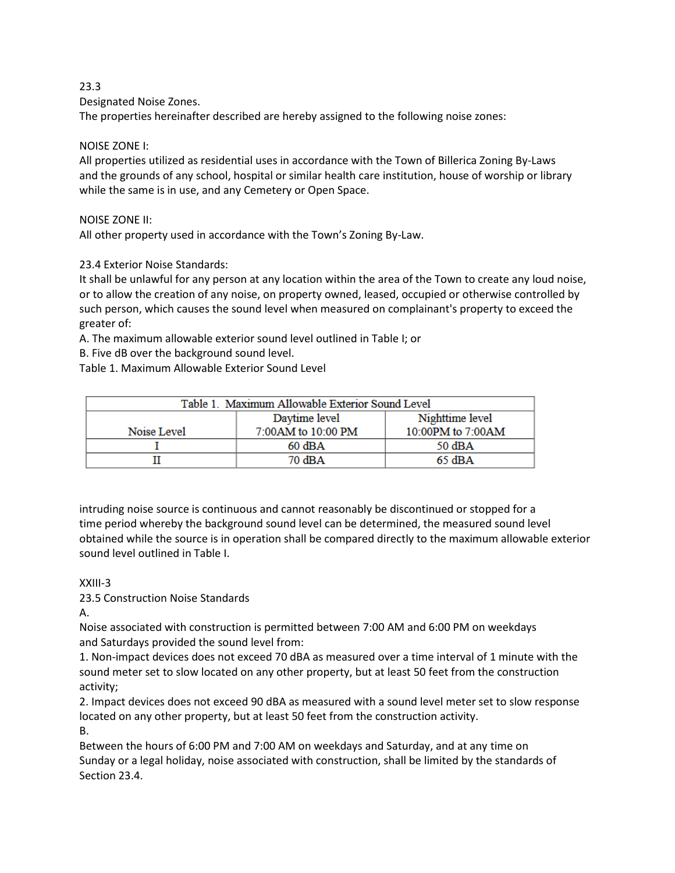#### 23.3

Designated Noise Zones.

The properties hereinafter described are hereby assigned to the following noise zones:

#### NOISE ZONE I:

All properties utilized as residential uses in accordance with the Town of Billerica Zoning By-Laws and the grounds of any school, hospital or similar health care institution, house of worship or library while the same is in use, and any Cemetery or Open Space.

#### NOISE ZONE II:

All other property used in accordance with the Town's Zoning By-Law.

## 23.4 Exterior Noise Standards:

It shall be unlawful for any person at any location within the area of the Town to create any loud noise, or to allow the creation of any noise, on property owned, leased, occupied or otherwise controlled by such person, which causes the sound level when measured on complainant's property to exceed the greater of:

A. The maximum allowable exterior sound level outlined in Table I; or

B. Five dB over the background sound level.

Table 1. Maximum Allowable Exterior Sound Level

| Table 1. Maximum Allowable Exterior Sound Level |                    |                   |
|-------------------------------------------------|--------------------|-------------------|
|                                                 | Daytime level      | Nighttime level   |
| Noise Level                                     | 7:00AM to 10:00 PM | 10:00PM to 7:00AM |
|                                                 | $60$ dBA           | 50 dBA            |
|                                                 | 70 dBA             | $65$ dBA          |

intruding noise source is continuous and cannot reasonably be discontinued or stopped for a time period whereby the background sound level can be determined, the measured sound level obtained while the source is in operation shall be compared directly to the maximum allowable exterior sound level outlined in Table I.

#### XXIII-3

23.5 Construction Noise Standards

A.

Noise associated with construction is permitted between 7:00 AM and 6:00 PM on weekdays and Saturdays provided the sound level from:

1. Non-impact devices does not exceed 70 dBA as measured over a time interval of 1 minute with the sound meter set to slow located on any other property, but at least 50 feet from the construction activity;

2. Impact devices does not exceed 90 dBA as measured with a sound level meter set to slow response located on any other property, but at least 50 feet from the construction activity.

B.

Between the hours of 6:00 PM and 7:00 AM on weekdays and Saturday, and at any time on Sunday or a legal holiday, noise associated with construction, shall be limited by the standards of Section 23.4.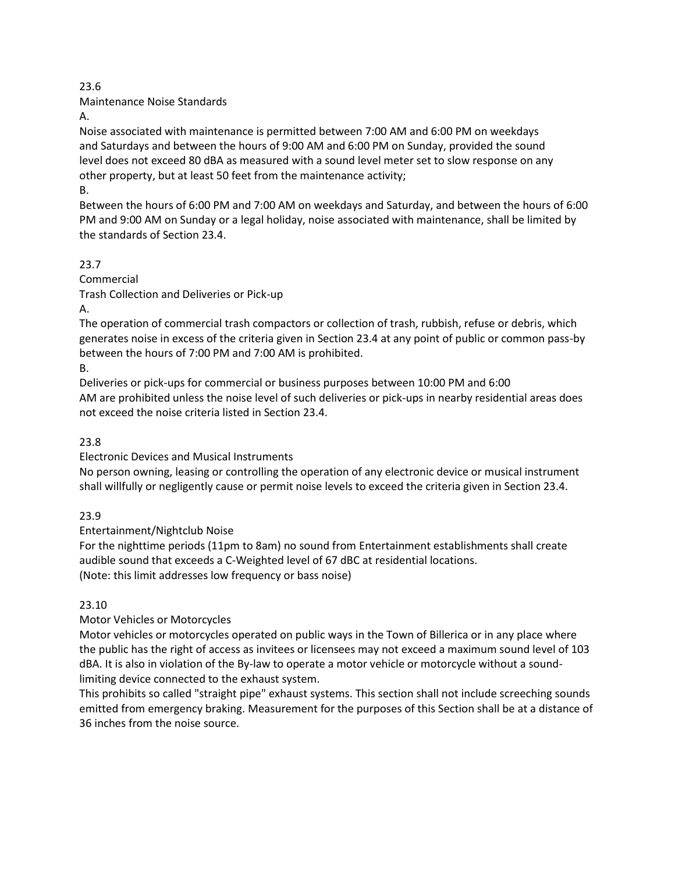#### 23.6

Maintenance Noise Standards

A.

Noise associated with maintenance is permitted between 7:00 AM and 6:00 PM on weekdays and Saturdays and between the hours of 9:00 AM and 6:00 PM on Sunday, provided the sound level does not exceed 80 dBA as measured with a sound level meter set to slow response on any other property, but at least 50 feet from the maintenance activity;

B.

Between the hours of 6:00 PM and 7:00 AM on weekdays and Saturday, and between the hours of 6:00 PM and 9:00 AM on Sunday or a legal holiday, noise associated with maintenance, shall be limited by the standards of Section 23.4.

23.7 Commercial Trash Collection and Deliveries or Pick-up A.

The operation of commercial trash compactors or collection of trash, rubbish, refuse or debris, which generates noise in excess of the criteria given in Section 23.4 at any point of public or common pass-by between the hours of 7:00 PM and 7:00 AM is prohibited.

B.

Deliveries or pick-ups for commercial or business purposes between 10:00 PM and 6:00 AM are prohibited unless the noise level of such deliveries or pick-ups in nearby residential areas does not exceed the noise criteria listed in Section 23.4.

23.8

Electronic Devices and Musical Instruments

No person owning, leasing or controlling the operation of any electronic device or musical instrument shall willfully or negligently cause or permit noise levels to exceed the criteria given in Section 23.4.

23.9

Entertainment/Nightclub Noise

For the nighttime periods (11pm to 8am) no sound from Entertainment establishments shall create audible sound that exceeds a C-Weighted level of 67 dBC at residential locations. (Note: this limit addresses low frequency or bass noise)

23.10

Motor Vehicles or Motorcycles

Motor vehicles or motorcycles operated on public ways in the Town of Billerica or in any place where the public has the right of access as invitees or licensees may not exceed a maximum sound level of 103 dBA. It is also in violation of the By-law to operate a motor vehicle or motorcycle without a soundlimiting device connected to the exhaust system.

This prohibits so called "straight pipe" exhaust systems. This section shall not include screeching sounds emitted from emergency braking. Measurement for the purposes of this Section shall be at a distance of 36 inches from the noise source.